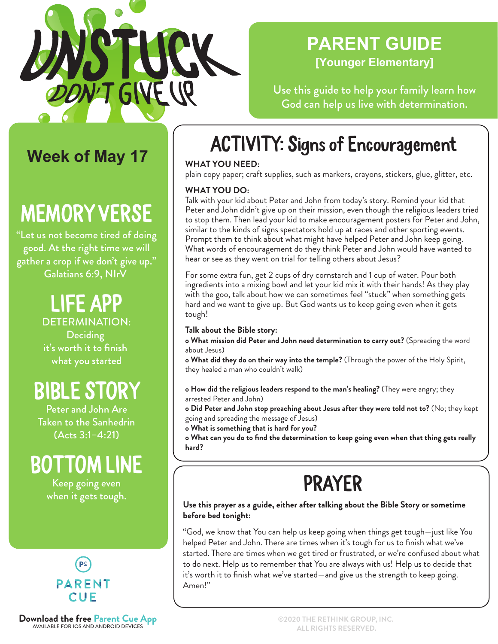

### **PARENT GUIDE [Younger Elementary]**

Use this guide to help your family learn how God can help us live with determination.

### **Week of May 17**

# MEMORY VERSE

"Let us not become tired of doing good. At the right time we will gather a crop if we don't give up." Galatians 6:9, NIrV

### LIFE APP DETERMINATION:

**Deciding** it's worth it to finish what you started

# BIBLE STORY

Peter and John Are Taken to the Sanhedrin (Acts 3:1–4:21)

# BOTTOM LINE

Keep going even when it gets tough.



**Download the free Parent Cue App**<br>AVAILABLE FOR IOS AND ANDROID DEVICES

# ACTIVITY: Signs of Encouragement

### **WHAT YOU NEED:**

plain copy paper; craft supplies, such as markers, crayons, stickers, glue, glitter, etc.

### **WHAT YOU DO:**

Talk with your kid about Peter and John from today's story. Remind your kid that Peter and John didn't give up on their mission, even though the religious leaders tried to stop them. Then lead your kid to make encouragement posters for Peter and John, similar to the kinds of signs spectators hold up at races and other sporting events. Prompt them to think about what might have helped Peter and John keep going. What words of encouragement do they think Peter and John would have wanted to hear or see as they went on trial for telling others about Jesus?

For some extra fun, get 2 cups of dry cornstarch and 1 cup of water. Pour both ingredients into a mixing bowl and let your kid mix it with their hands! As they play with the goo, talk about how we can sometimes feel "stuck" when something gets hard and we want to give up. But God wants us to keep going even when it gets tough!

#### **Talk about the Bible story:**

**o What mission did Peter and John need determination to carry out?** (Spreading the word about Jesus)

**o What did they do on their way into the temple?** (Through the power of the Holy Spirit, they healed a man who couldn't walk)

**o How did the religious leaders respond to the man's healing?** (They were angry; they arrested Peter and John)

**o Did Peter and John stop preaching about Jesus after they were told not to?** (No; they kept going and spreading the message of Jesus)

**o What is something that is hard for you?**

**o What can you do to find the determination to keep going even when that thing gets really hard?**

# PRAYER

#### **Use this prayer as a guide, either after talking about the Bible Story or sometime before bed tonight:**

"God, we know that You can help us keep going when things get tough—just like You helped Peter and John. There are times when it's tough for us to finish what we've started. There are times when we get tired or frustrated, or we're confused about what to do next. Help us to remember that You are always with us! Help us to decide that it's worth it to finish what we've started—and give us the strength to keep going. Amen!"